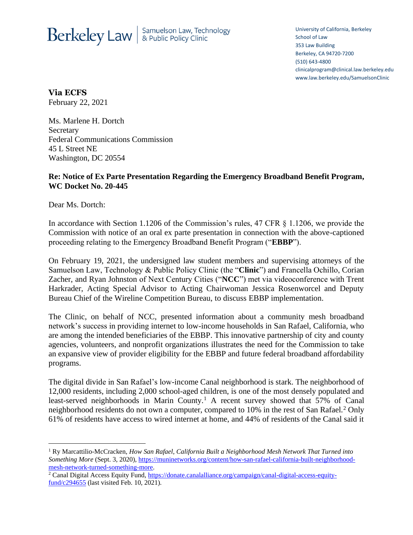## Berkeley Law | Samuelson Law, Technology

University of California, Berkeley School of Law 353 Law Building Berkeley, CA 94720-7200 (510) 643-4800 clinicalprogram@clinical.law.berkeley.edu www.law.berkeley.edu/SamuelsonClinic

**Via ECFS** February 22, 2021

Ms. Marlene H. Dortch **Secretary** Federal Communications Commission 45 L Street NE Washington, DC 20554

## **Re: Notice of Ex Parte Presentation Regarding the Emergency Broadband Benefit Program, WC Docket No. 20-445**

Dear Ms. Dortch:

In accordance with Section 1.1206 of the Commission's rules, 47 CFR § 1.1206, we provide the Commission with notice of an oral ex parte presentation in connection with the above-captioned proceeding relating to the Emergency Broadband Benefit Program ("**EBBP**").

On February 19, 2021, the undersigned law student members and supervising attorneys of the Samuelson Law, Technology & Public Policy Clinic (the "**Clinic**") and Francella Ochillo, Corian Zacher, and Ryan Johnston of Next Century Cities ("**NCC**") met via videoconference with Trent Harkrader, Acting Special Advisor to Acting Chairwoman Jessica Rosenworcel and Deputy Bureau Chief of the Wireline Competition Bureau, to discuss EBBP implementation.

The Clinic, on behalf of NCC, presented information about a community mesh broadband network's success in providing internet to low-income households in San Rafael, California, who are among the intended beneficiaries of the EBBP. This innovative partnership of city and county agencies, volunteers, and nonprofit organizations illustrates the need for the Commission to take an expansive view of provider eligibility for the EBBP and future federal broadband affordability programs.

The digital divide in San Rafael's low-income Canal neighborhood is stark. The neighborhood of 12,000 residents, including 2,000 school-aged children, is one of the most densely populated and least-served neighborhoods in Marin County.<sup>1</sup> A recent survey showed that  $57\%$  of Canal neighborhood residents do not own a computer, compared to 10% in the rest of San Rafael.<sup>2</sup> Only 61% of residents have access to wired internet at home, and 44% of residents of the Canal said it

<sup>1</sup> Ry Marcattilio-McCracken, *How San Rafael, California Built a Neighborhood Mesh Network That Turned into Something More* (Sept. 3, 2020), [https://muninetworks.org/content/how-san-rafael-california-built-neighborhood](https://muninetworks.org/content/how-san-rafael-california-built-neighborhood-mesh-network-turned-something-more)[mesh-network-turned-something-more.](https://muninetworks.org/content/how-san-rafael-california-built-neighborhood-mesh-network-turned-something-more)

<sup>&</sup>lt;sup>2</sup> Canal Digital Access Equity Fund, [https://donate.canalalliance.org/campaign/canal-digital-access-equity](https://donate.canalalliance.org/campaign/canal-digital-access-equity-fund/c294655)[fund/c294655](https://donate.canalalliance.org/campaign/canal-digital-access-equity-fund/c294655) (last visited Feb. 10, 2021).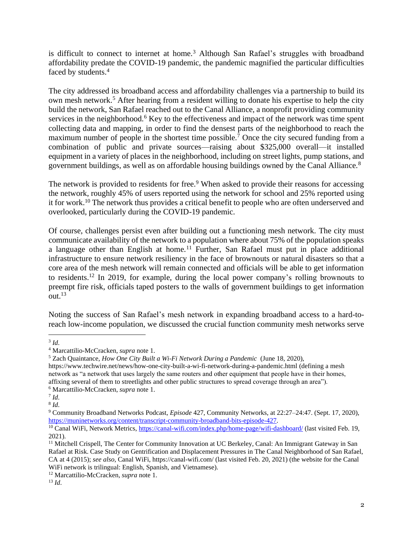is difficult to connect to internet at home.<sup>3</sup> Although San Rafael's struggles with broadband affordability predate the COVID-19 pandemic, the pandemic magnified the particular difficulties faced by students. 4

The city addressed its broadband access and affordability challenges via a partnership to build its own mesh network.<sup>5</sup> After hearing from a resident willing to donate his expertise to help the city build the network, San Rafael reached out to the Canal Alliance, a nonprofit providing community services in the neighborhood.<sup>6</sup> Key to the effectiveness and impact of the network was time spent collecting data and mapping, in order to find the densest parts of the neighborhood to reach the maximum number of people in the shortest time possible.<sup>7</sup> Once the city secured funding from a combination of public and private sources—raising about \$325,000 overall—it installed equipment in a variety of places in the neighborhood, including on street lights, pump stations, and government buildings, as well as on affordable housing buildings owned by the Canal Alliance.<sup>8</sup>

The network is provided to residents for free.<sup>9</sup> When asked to provide their reasons for accessing the network, roughly 45% of users reported using the network for school and 25% reported using it for work.<sup>10</sup> The network thus provides a critical benefit to people who are often underserved and overlooked, particularly during the COVID-19 pandemic.

Of course, challenges persist even after building out a functioning mesh network. The city must communicate availability of the network to a population where about 75% of the population speaks a language other than English at home.<sup>11</sup> Further, San Rafael must put in place additional infrastructure to ensure network resiliency in the face of brownouts or natural disasters so that a core area of the mesh network will remain connected and officials will be able to get information to residents.<sup>12</sup> In 2019, for example, during the local power company's rolling brownouts to preempt fire risk, officials taped posters to the walls of government buildings to get information out. $13$ 

Noting the success of San Rafael's mesh network in expanding broadband access to a hard-toreach low-income population, we discussed the crucial function community mesh networks serve

<sup>3</sup> *Id*.

<sup>4</sup> Marcattilio-McCracken, *supra* note 1.

<sup>5</sup> Zach Quaintance, *How One City Built a Wi-Fi Network During a Pandemic* (June 18, 2020),

https://www.techwire.net/news/how-one-city-built-a-wi-fi-network-during-a-pandemic.html (defining a mesh network as "a network that uses largely the same routers and other equipment that people have in their homes, affixing several of them to streetlights and other public structures to spread coverage through an area"). <sup>6</sup> Marcattilio-McCracken, *supra* note 1.

<sup>7</sup> *Id*.

<sup>8</sup> *Id*.

<sup>9</sup> Community Broadband Networks Podcast, *Episode* 427, Community Networks, at 22:27–24:47. (Sept. 17, 2020), [https://muninetworks.org/content/transcript-community-broadband-bits-episode-427.](https://muninetworks.org/content/transcript-community-broadband-bits-episode-427)

<sup>10</sup> Canal WiFi, Network Metrics[, https://canal-wifi.com/index.php/home-page/wifi-dashboard/](https://canal-wifi.com/index.php/home-page/wifi-dashboard/) (last visited Feb. 19, 2021).

<sup>&</sup>lt;sup>11</sup> Mitchell Crispell, The Center for Community Innovation at UC Berkeley, Canal: An Immigrant Gateway in San Rafael at Risk. Case Study on Gentrification and Displacement Pressures in The Canal Neighborhood of San Rafael, CA at 4 (2015); *see also*, Canal WiFi, https://canal-wifi.com/ (last visited Feb. 20, 2021) (the website for the Canal WiFi network is trilingual: English, Spanish, and Vietnamese).

<sup>12</sup> Marcattilio-McCracken, *supra* note 1.

<sup>13</sup> *Id*.